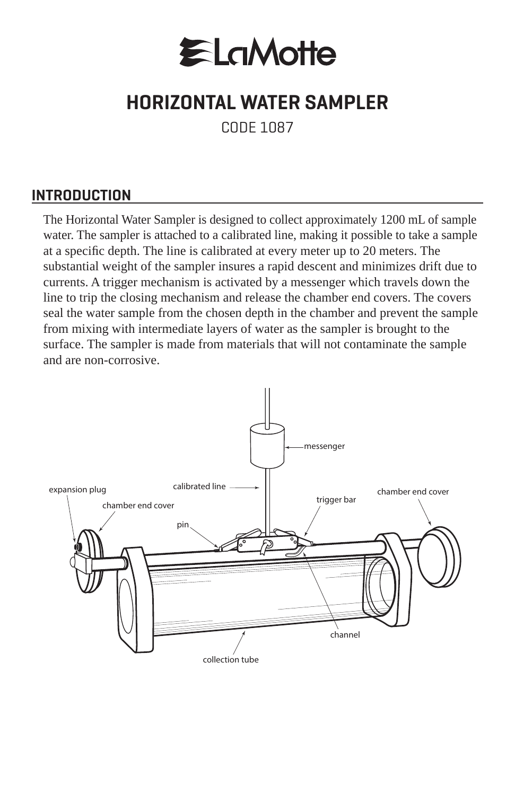

## **HORIZONTAL WATER SAMPLER**

CODE 1087

## **INTRODUCTION**

The Horizontal Water Sampler is designed to collect approximately 1200 mL of sample water. The sampler is attached to a calibrated line, making it possible to take a sample at a specific depth. The line is calibrated at every meter up to 20 meters. The substantial weight of the sampler insures a rapid descent and minimizes drift due to currents. A trigger mechanism is activated by a messenger which travels down the line to trip the closing mechanism and release the chamber end covers. The covers seal the water sample from the chosen depth in the chamber and prevent the sample from mixing with intermediate layers of water as the sampler is brought to the surface. The sampler is made from materials that will not contaminate the sample and are non-corrosive.